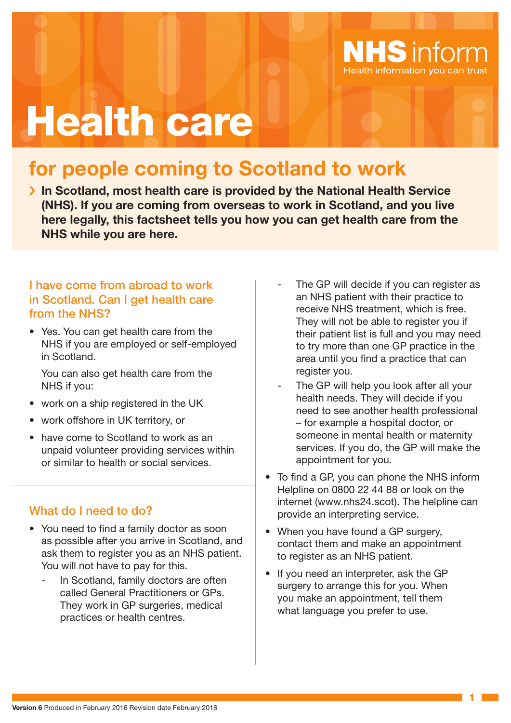

# Health care

# **for people coming to Scotland to work**

› **In Scotland, most health care is provided by the National Health Service (NHS). If you are coming from overseas to work in Scotland, and you live here legally, this factsheet tells you how you can get health care from the NHS while you are here.**

#### I have come from abroad to work in Scotland. Can I get health care from the NHS?

• Yes. You can get health care from the NHS if you are employed or self-employed in Scotland.

You can also get health care from the NHS if you:

- work on a ship registered in the UK
- work offshore in UK territory, or
- have come to Scotland to work as an unpaid volunteer providing services within or similar to health or social services.

#### What do I need to do?

- You need to find a family doctor as soon as possible after you arrive in Scotland, and ask them to register you as an NHS patient. You will not have to pay for this.
	- In Scotland, family doctors are often called General Practitioners or GPs. They work in GP surgeries, medical practices or health centres.
- The GP will decide if you can register as an NHS patient with their practice to receive NHS treatment, which is free. They will not be able to register you if their patient list is full and you may need to try more than one GP practice in the area until you find a practice that can register you.
- The GP will help you look after all your health needs. They will decide if you need to see another health professional – for example a hospital doctor, or someone in mental health or maternity services. If you do, the GP will make the appointment for you.
- To find a GP, you can phone the NHS inform Helpline on 0800 22 44 88 or look on the internet (www.nhs24.scot). The helpline can provide an interpreting service.
- When you have found a GP surgery, contact them and make an appointment to register as an NHS patient.
- If you need an interpreter, ask the GP surgery to arrange this for you. When you make an appointment, tell them what language you prefer to use.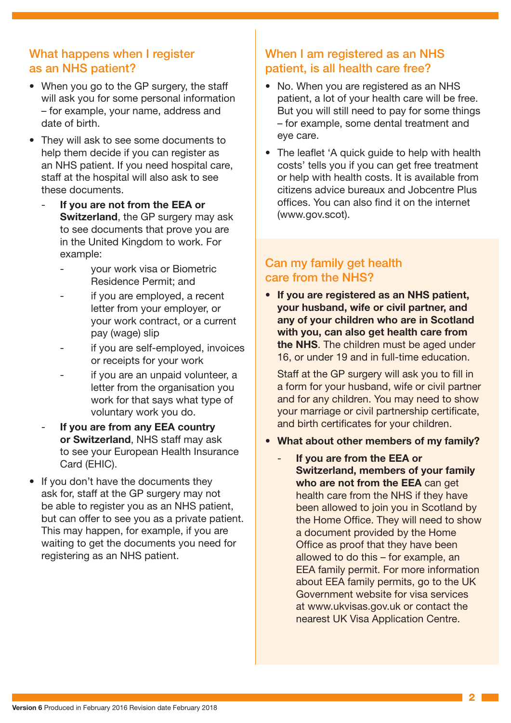#### What happens when I register as an NHS patient?

- When you go to the GP surgery, the staff will ask you for some personal information – for example, your name, address and date of birth.
- They will ask to see some documents to help them decide if you can register as an NHS patient. If you need hospital care, staff at the hospital will also ask to see these documents.
	- **If you are not from the EEA or Switzerland**, the GP surgery may ask to see documents that prove you are in the United Kingdom to work. For example:
		- your work visa or Biometric Residence Permit; and
		- if you are employed, a recent letter from your employer, or your work contract, or a current pay (wage) slip
		- if you are self-employed, invoices or receipts for your work
		- if you are an unpaid volunteer, a letter from the organisation you work for that says what type of voluntary work you do.
	- **If you are from any EEA country or Switzerland**, NHS staff may ask to see your European Health Insurance Card (EHIC).
- If you don't have the documents they ask for, staff at the GP surgery may not be able to register you as an NHS patient, but can offer to see you as a private patient. This may happen, for example, if you are waiting to get the documents you need for registering as an NHS patient.

## When I am registered as an NHS patient, is all health care free?

- No. When you are registered as an NHS patient, a lot of your health care will be free. But you will still need to pay for some things – for example, some dental treatment and eye care.
- The leaflet 'A quick guide to help with health costs' tells you if you can get free treatment or help with health costs. It is available from citizens advice bureaux and Jobcentre Plus offices. You can also find it on the internet (www.gov.scot).

### Can my family get health care from the NHS?

• **If you are registered as an NHS patient, your husband, wife or civil partner, and any of your children who are in Scotland with you, can also get health care from the NHS**. The children must be aged under 16, or under 19 and in full-time education.

Staff at the GP surgery will ask you to fill in a form for your husband, wife or civil partner and for any children. You may need to show your marriage or civil partnership certificate, and birth certificates for your children.

- **• What about other members of my family?**
	- **If you are from the EEA or Switzerland, members of your family who are not from the EEA** can get health care from the NHS if they have been allowed to join you in Scotland by the Home Office. They will need to show a document provided by the Home Office as proof that they have been allowed to do this – for example, an EEA family permit. For more information about EEA family permits, go to the UK Government website for visa services at www.ukvisas.gov.uk or contact the nearest UK Visa Application Centre.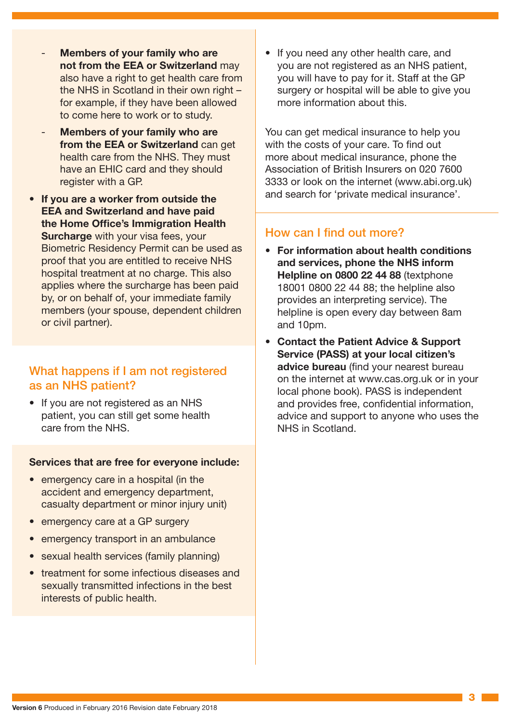- **Members of your family who are not from the EEA or Switzerland** may also have a right to get health care from the NHS in Scotland in their own right – for example, if they have been allowed to come here to work or to study.
- **Members of your family who are from the EEA or Switzerland** can get health care from the NHS. They must have an EHIC card and they should register with a GP.
- **If you are a worker from outside the EEA and Switzerland and have paid the Home Office's Immigration Health Surcharge** with your visa fees, your Biometric Residency Permit can be used as proof that you are entitled to receive NHS hospital treatment at no charge. This also applies where the surcharge has been paid by, or on behalf of, your immediate family members (your spouse, dependent children or civil partner).

#### What happens if I am not registered as an NHS patient?

• If you are not registered as an NHS patient, you can still get some health care from the NHS.

#### **Services that are free for everyone include:**

- emergency care in a hospital (in the accident and emergency department, casualty department or minor injury unit)
- emergency care at a GP surgery
- emergency transport in an ambulance
- sexual health services (family planning)
- treatment for some infectious diseases and sexually transmitted infections in the best interests of public health.

• If you need any other health care, and you are not registered as an NHS patient, you will have to pay for it. Staff at the GP surgery or hospital will be able to give you more information about this.

You can get medical insurance to help you with the costs of your care. To find out more about medical insurance, phone the Association of British Insurers on 020 7600 3333 or look on the internet (www.abi.org.uk) and search for 'private medical insurance'.

#### How can I find out more?

- **For information about health conditions and services, phone the NHS inform Helpline on 0800 22 44 88** (textphone 18001 0800 22 44 88; the helpline also provides an interpreting service). The helpline is open every day between 8am and 10pm.
- **Contact the Patient Advice & Support Service (PASS) at your local citizen's advice bureau** (find your nearest bureau on the internet at www.cas.org.uk or in your local phone book). PASS is independent and provides free, confidential information, advice and support to anyone who uses the NHS in Scotland.